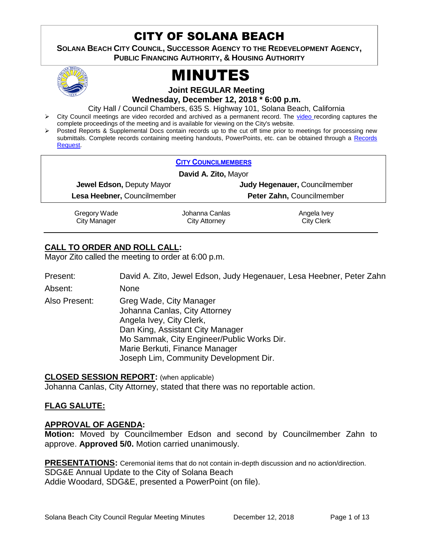## CITY OF SOLANA BEACH

444 **SOLANA BEACH CITY COUNCIL, SUCCESSOR AGENCY TO THE REDEVELOPMENT AGENCY, PUBLIC FINANCING AUTHORITY, & HOUSING AUTHORITY** 



# MINUTES

**Joint REGULAR Meeting**

**Wednesday, December 12, 2018 \* 6:00 p.m.**

City Hall / Council Chambers, 635 S. Highway 101, Solana Beach, California

- ▶ City Council meetings are [video r](https://solanabeach.12milesout.com/#page=1)ecorded and archived as a permanent record. The video recording captures the complete proceedings of the meeting and is available for viewing on the City's website.
- Posted Reports & Supplemental Docs contain records up to the cut off time prior to meetings for processing new submittals. Complete records containing meeting handouts, PowerPoints, etc. can be obtained through a [Records](http://www.ci.solana-beach.ca.us/index.asp?SEC=F5D45D10-70CE-4291-A27C-7BD633FC6742&Type=B_BASIC)  [Request.](http://www.ci.solana-beach.ca.us/index.asp?SEC=F5D45D10-70CE-4291-A27C-7BD633FC6742&Type=B_BASIC)

| <b>CITY COUNCILMEMBERS</b>       |                |                               |
|----------------------------------|----------------|-------------------------------|
| David A. Zito, Mayor             |                |                               |
| <b>Jewel Edson, Deputy Mayor</b> |                | Judy Hegenauer, Councilmember |
| Lesa Heebner, Councilmember      |                | Peter Zahn, Councilmember     |
| Gregory Wade                     | Johanna Canlas | Angela Ivey                   |
| <b>City Manager</b>              | City Attorney  | <b>City Clerk</b>             |

## **CALL TO ORDER AND ROLL CALL:**

Mayor Zito called the meeting to order at 6:00 p.m.

Present: David A. Zito, Jewel Edson, Judy Hegenauer, Lesa Heebner, Peter Zahn

Absent: None

Also Present: Greg Wade, City Manager Johanna Canlas, City Attorney Angela Ivey, City Clerk, Dan King, Assistant City Manager Mo Sammak, City Engineer/Public Works Dir. Marie Berkuti, Finance Manager Joseph Lim, Community Development Dir.

## **CLOSED SESSION REPORT:** (when applicable)

Johanna Canlas, City Attorney, stated that there was no reportable action.

## **FLAG SALUTE:**

## **APPROVAL OF AGENDA:**

**Motion:** Moved by Councilmember Edson and second by Councilmember Zahn to approve. **Approved 5/0.** Motion carried unanimously.

**PRESENTATIONS:** Ceremonial items that do not contain in-depth discussion and no action/direction. SDG&E Annual Update to the City of Solana Beach Addie Woodard, SDG&E, presented a PowerPoint (on file).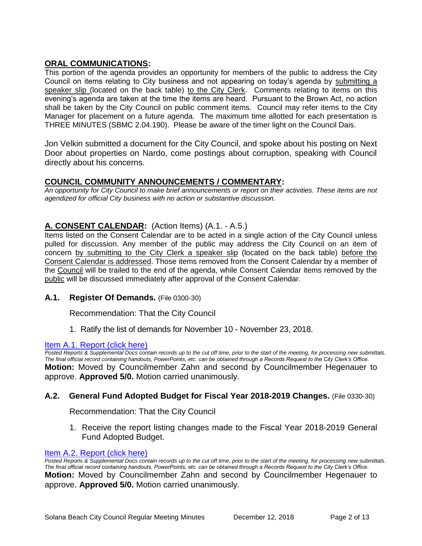## **ORAL COMMUNICATIONS:**

This portion of the agenda provides an opportunity for members of the public to address the City Council on items relating to City business and not appearing on today's agenda by submitting a speaker slip (located on the back table) to the City Clerk. Comments relating to items on this evening's agenda are taken at the time the items are heard. Pursuant to the Brown Act, no action shall be taken by the City Council on public comment items. Council may refer items to the City Manager for placement on a future agenda. The maximum time allotted for each presentation is THREE MINUTES (SBMC 2.04.190). Please be aware of the timer light on the Council Dais.

Jon Velkin submitted a document for the City Council, and spoke about his posting on Next Door about properties on Nardo, come postings about corruption, speaking with Council directly about his concerns.

## **COUNCIL COMMUNITY ANNOUNCEMENTS / COMMENTARY:**

*An opportunity for City Council to make brief announcements or report on their activities. These items are not agendized for official City business with no action or substantive discussion.* 

## **A. CONSENT CALENDAR:** (Action Items) (A.1. - A.5.)

Items listed on the Consent Calendar are to be acted in a single action of the City Council unless pulled for discussion. Any member of the public may address the City Council on an item of concern by submitting to the City Clerk a speaker slip (located on the back table) before the Consent Calendar is addressed. Those items removed from the Consent Calendar by a member of the Council will be trailed to the end of the agenda, while Consent Calendar items removed by the public will be discussed immediately after approval of the Consent Calendar.

## **A.1. Register Of Demands.** (File 0300-30)

Recommendation: That the City Council

1. Ratify the list of demands for November 10 - November 23, 2018.

#### [Item A.1. Report \(click here\)](https://solanabeach.govoffice3.com/vertical/Sites/%7B840804C2-F869-4904-9AE3-720581350CE7%7D/uploads/Item_A.1._Report_(click_here)_-_12-12-18.PDF)

*Posted Reports & Supplemental Docs contain records up to the cut off time, prior to the start of the meeting, for processing new submittals. The final official record containing handouts, PowerPoints, etc. can be obtained through a Records Request to the City Clerk's Office.* **Motion:** Moved by Councilmember Zahn and second by Councilmember Hegenauer to approve. **Approved 5/0.** Motion carried unanimously.

## **A.2. General Fund Adopted Budget for Fiscal Year 2018-2019 Changes.** (File 0330-30)

Recommendation: That the City Council

1. Receive the report listing changes made to the Fiscal Year 2018-2019 General Fund Adopted Budget.

#### [Item A.2. Report \(click here\)](https://solanabeach.govoffice3.com/vertical/Sites/%7B840804C2-F869-4904-9AE3-720581350CE7%7D/uploads/Item_A.2._Report_(click_here)_-_12-12-18.PDF)

*Posted Reports & Supplemental Docs contain records up to the cut off time, prior to the start of the meeting, for processing new submittals. The final official record containing handouts, PowerPoints, etc. can be obtained through a Records Request to the City Clerk's Office.* **Motion:** Moved by Councilmember Zahn and second by Councilmember Hegenauer to approve. **Approved 5/0.** Motion carried unanimously.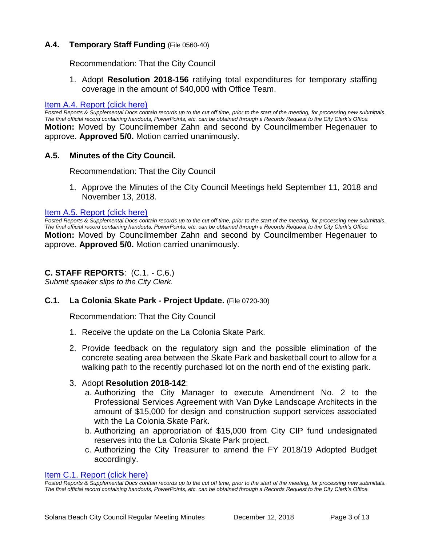## **A.4. Temporary Staff Funding** (File 0560-40)

Recommendation: That the City Council

1. Adopt **Resolution 2018-156** ratifying total expenditures for temporary staffing coverage in the amount of \$40,000 with Office Team.

#### [Item A.4. Report \(click here\)](https://solanabeach.govoffice3.com/vertical/Sites/%7B840804C2-F869-4904-9AE3-720581350CE7%7D/uploads/Item_A.4._Report_(click_here)_-_12-12-18.PDF)

*Posted Reports & Supplemental Docs contain records up to the cut off time, prior to the start of the meeting, for processing new submittals. The final official record containing handouts, PowerPoints, etc. can be obtained through a Records Request to the City Clerk's Office.* **Motion:** Moved by Councilmember Zahn and second by Councilmember Hegenauer to approve. **Approved 5/0.** Motion carried unanimously.

#### **A.5. Minutes of the City Council.**

Recommendation: That the City Council

1. Approve the Minutes of the City Council Meetings held September 11, 2018 and November 13, 2018.

#### [Item A.5. Report \(click here\)](https://solanabeach.govoffice3.com/vertical/Sites/%7B840804C2-F869-4904-9AE3-720581350CE7%7D/uploads/Item_A.5._Report_(click_here)_-_12-12-18.PDF)

**Posted Reports & Supplemental Docs contain records up to the cut off time, prior to the start of the meeting, for processing new submittals.** *The final official record containing handouts, PowerPoints, etc. can be obtained through a Records Request to the City Clerk's Office.* **Motion:** Moved by Councilmember Zahn and second by Councilmember Hegenauer to approve. **Approved 5/0.** Motion carried unanimously.

#### **C. STAFF REPORTS**: (C.1. - C.6.)

*Submit speaker slips to the City Clerk.*

#### **C.1. La Colonia Skate Park - Project Update.** (File 0720-30)

Recommendation: That the City Council

- 1. Receive the update on the La Colonia Skate Park.
- 2. Provide feedback on the regulatory sign and the possible elimination of the concrete seating area between the Skate Park and basketball court to allow for a walking path to the recently purchased lot on the north end of the existing park.

#### 3. Adopt **Resolution 2018-142**:

- a. Authorizing the City Manager to execute Amendment No. 2 to the Professional Services Agreement with Van Dyke Landscape Architects in the amount of \$15,000 for design and construction support services associated with the La Colonia Skate Park.
- b. Authorizing an appropriation of \$15,000 from City CIP fund undesignated reserves into the La Colonia Skate Park project.
- c. Authorizing the City Treasurer to amend the FY 2018/19 Adopted Budget accordingly.

#### [Item C.1. Report \(click here\)](https://solanabeach.govoffice3.com/vertical/Sites/%7B840804C2-F869-4904-9AE3-720581350CE7%7D/uploads/Item_C.1._Report_(click_here)_12-12-18.PDF)

*Posted Reports & Supplemental Docs contain records up to the cut off time, prior to the start of the meeting, for processing new submittals. The final official record containing handouts, PowerPoints, etc. can be obtained through a Records Request to the City Clerk's Office.*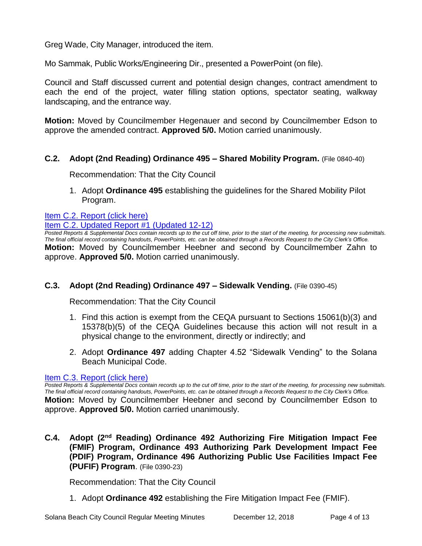Greg Wade, City Manager, introduced the item.

Mo Sammak, Public Works/Engineering Dir., presented a PowerPoint (on file).

Council and Staff discussed current and potential design changes, contract amendment to each the end of the project, water filling station options, spectator seating, walkway landscaping, and the entrance way.

**Motion:** Moved by Councilmember Hegenauer and second by Councilmember Edson to approve the amended contract. **Approved 5/0.** Motion carried unanimously.

## **C.2. Adopt (2nd Reading) Ordinance 495 – Shared Mobility Program.** (File 0840-40)

Recommendation: That the City Council

1. Adopt **Ordinance 495** establishing the guidelines for the Shared Mobility Pilot Program.

## [Item C.2. Report \(click here\)](https://solanabeach.govoffice3.com/vertical/Sites/%7B840804C2-F869-4904-9AE3-720581350CE7%7D/uploads/Item_C.2._Report_(click_here)_-_12-12-18.PDF)

[Item C.2. Updated Report #1 \(Updated 12-12\)](https://solanabeach.govoffice3.com/vertical/Sites/%7B840804C2-F869-4904-9AE3-720581350CE7%7D/uploads/C.2._Updated_Report_1_-_12-12-18.pdf)

*Posted Reports & Supplemental Docs contain records up to the cut off time, prior to the start of the meeting, for processing new submittals. The final official record containing handouts, PowerPoints, etc. can be obtained through a Records Request to the City Clerk's Office.* **Motion:** Moved by Councilmember Heebner and second by Councilmember Zahn to approve. **Approved 5/0.** Motion carried unanimously.

## **C.3. Adopt (2nd Reading) Ordinance 497 – Sidewalk Vending.** (File 0390-45)

Recommendation: That the City Council

- 1. Find this action is exempt from the CEQA pursuant to Sections 15061(b)(3) and 15378(b)(5) of the CEQA Guidelines because this action will not result in a physical change to the environment, directly or indirectly; and
- 2. Adopt **Ordinance 497** adding Chapter 4.52 "Sidewalk Vending" to the Solana Beach Municipal Code.

#### [Item C.3. Report \(click here\)](https://solanabeach.govoffice3.com/vertical/Sites/%7B840804C2-F869-4904-9AE3-720581350CE7%7D/uploads/Item_C.3._Report_(click_here)_-_12-12-18.PDF)

*Posted Reports & Supplemental Docs contain records up to the cut off time, prior to the start of the meeting, for processing new submittals. The final official record containing handouts, PowerPoints, etc. can be obtained through a Records Request to the City Clerk's Office.* **Motion:** Moved by Councilmember Heebner and second by Councilmember Edson to approve. **Approved 5/0.** Motion carried unanimously.

**C.4. Adopt (2nd Reading) Ordinance 492 Authorizing Fire Mitigation Impact Fee (FMIF) Program, Ordinance 493 Authorizing Park Development Impact Fee (PDIF) Program, Ordinance 496 Authorizing Public Use Facilities Impact Fee (PUFIF) Program**. (File 0390-23)

Recommendation: That the City Council

1. Adopt **Ordinance 492** establishing the Fire Mitigation Impact Fee (FMIF).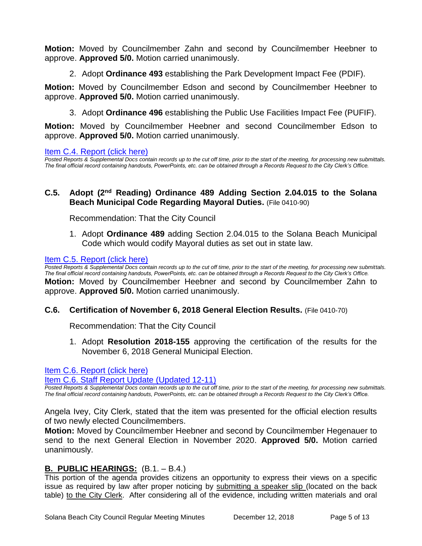**Motion:** Moved by Councilmember Zahn and second by Councilmember Heebner to approve. **Approved 5/0.** Motion carried unanimously.

2. Adopt **Ordinance 493** establishing the Park Development Impact Fee (PDIF).

**Motion:** Moved by Councilmember Edson and second by Councilmember Heebner to approve. **Approved 5/0.** Motion carried unanimously.

3. Adopt **Ordinance 496** establishing the Public Use Facilities Impact Fee (PUFIF).

**Motion:** Moved by Councilmember Heebner and second Councilmember Edson to approve. **Approved 5/0.** Motion carried unanimously.

#### [Item C.4. Report \(click here\)](https://solanabeach.govoffice3.com/vertical/Sites/%7B840804C2-F869-4904-9AE3-720581350CE7%7D/uploads/Item_C.4._Report_(click_here)_-_12-12-18.PDF)

*Posted Reports & Supplemental Docs contain records up to the cut off time, prior to the start of the meeting, for processing new submittals. The final official record containing handouts, PowerPoints, etc. can be obtained through a Records Request to the City Clerk's Office.*

## **C.5. Adopt (2nd Reading) Ordinance 489 Adding Section 2.04.015 to the Solana Beach Municipal Code Regarding Mayoral Duties.** (File 0410-90)

Recommendation: That the City Council

1. Adopt **Ordinance 489** adding Section 2.04.015 to the Solana Beach Municipal Code which would codify Mayoral duties as set out in state law.

#### [Item C.5. Report \(click here\)](https://solanabeach.govoffice3.com/vertical/Sites/%7B840804C2-F869-4904-9AE3-720581350CE7%7D/uploads/Item_C.5._Report_(click_here)_-_12-12-18.PDF)

*Posted Reports & Supplemental Docs contain records up to the cut off time, prior to the start of the meeting, for processing new submittals. The final official record containing handouts, PowerPoints, etc. can be obtained through a Records Request to the City Clerk's Office.* **Motion:** Moved by Councilmember Heebner and second by Councilmember Zahn to approve. **Approved 5/0.** Motion carried unanimously.

#### **C.6. Certification of November 6, 2018 General Election Results.** (File 0410-70)

Recommendation: That the City Council

1. Adopt **Resolution 2018-155** approving the certification of the results for the November 6, 2018 General Municipal Election.

[Item C.6. Report \(click here\)](https://solanabeach.govoffice3.com/vertical/Sites/%7B840804C2-F869-4904-9AE3-720581350CE7%7D/uploads/Item_C.6._Report_(click_here)_12-12-18.PDF) 

[Item C.6. Staff Report Update \(Updated 12-11\)](https://solanabeach.govoffice3.com/vertical/Sites/%7B840804C2-F869-4904-9AE3-720581350CE7%7D/uploads/C.6._Updated_Report_1_-_12-12-18.pdf)

*Posted Reports & Supplemental Docs contain records up to the cut off time, prior to the start of the meeting, for processing new submittals. The final official record containing handouts, PowerPoints, etc. can be obtained through a Records Request to the City Clerk's Office.*

Angela Ivey, City Clerk, stated that the item was presented for the official election results of two newly elected Councilmembers.

**Motion:** Moved by Councilmember Heebner and second by Councilmember Hegenauer to send to the next General Election in November 2020. **Approved 5/0.** Motion carried unanimously.

## **B. PUBLIC HEARINGS:** (B.1. – B.4.)

This portion of the agenda provides citizens an opportunity to express their views on a specific issue as required by law after proper noticing by submitting a speaker slip (located on the back table) to the City Clerk. After considering all of the evidence, including written materials and oral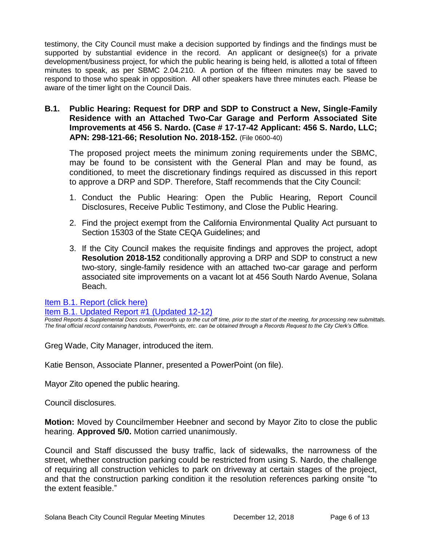testimony, the City Council must make a decision supported by findings and the findings must be supported by substantial evidence in the record. An applicant or designee(s) for a private development/business project, for which the public hearing is being held, is allotted a total of fifteen minutes to speak, as per SBMC 2.04.210. A portion of the fifteen minutes may be saved to respond to those who speak in opposition. All other speakers have three minutes each. Please be aware of the timer light on the Council Dais.

**B.1. Public Hearing: Request for DRP and SDP to Construct a New, Single-Family Residence with an Attached Two-Car Garage and Perform Associated Site Improvements at 456 S. Nardo. (Case # 17-17-42 Applicant: 456 S. Nardo, LLC; APN: 298-121-66; Resolution No. 2018-152.** (File 0600-40)

The proposed project meets the minimum zoning requirements under the SBMC, may be found to be consistent with the General Plan and may be found, as conditioned, to meet the discretionary findings required as discussed in this report to approve a DRP and SDP. Therefore, Staff recommends that the City Council:

- 1. Conduct the Public Hearing: Open the Public Hearing, Report Council Disclosures, Receive Public Testimony, and Close the Public Hearing.
- 2. Find the project exempt from the California Environmental Quality Act pursuant to Section 15303 of the State CEQA Guidelines; and
- 3. If the City Council makes the requisite findings and approves the project, adopt **Resolution 2018-152** conditionally approving a DRP and SDP to construct a new two-story, single-family residence with an attached two-car garage and perform associated site improvements on a vacant lot at 456 South Nardo Avenue, Solana Beach.

[Item B.1. Report \(click here\)](https://solanabeach.govoffice3.com/vertical/Sites/%7B840804C2-F869-4904-9AE3-720581350CE7%7D/uploads/Item_B.1._Report_(click_here)_-_12-12-18.PDF) 

[Item B.1. Updated Report #1 \(Updated 12-12\)](https://solanabeach.govoffice3.com/vertical/Sites/%7B840804C2-F869-4904-9AE3-720581350CE7%7D/uploads/B.1._Staff_Report_Update_1(1).pdf)

*Posted Reports & Supplemental Docs contain records up to the cut off time, prior to the start of the meeting, for processing new submittals. The final official record containing handouts, PowerPoints, etc. can be obtained through a Records Request to the City Clerk's Office.*

Greg Wade, City Manager, introduced the item.

Katie Benson, Associate Planner, presented a PowerPoint (on file).

Mayor Zito opened the public hearing.

Council disclosures.

**Motion:** Moved by Councilmember Heebner and second by Mayor Zito to close the public hearing. **Approved 5/0.** Motion carried unanimously.

Council and Staff discussed the busy traffic, lack of sidewalks, the narrowness of the street, whether construction parking could be restricted from using S. Nardo, the challenge of requiring all construction vehicles to park on driveway at certain stages of the project, and that the construction parking condition it the resolution references parking onsite "to the extent feasible."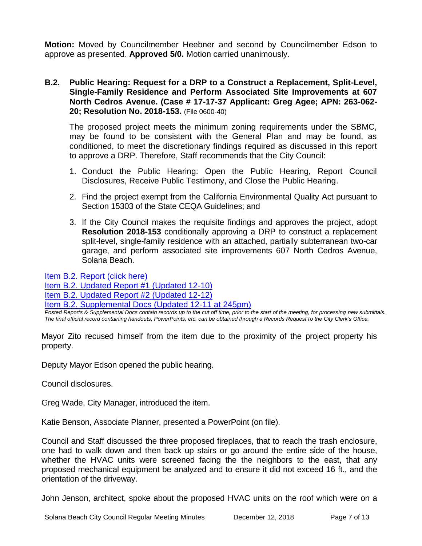**Motion:** Moved by Councilmember Heebner and second by Councilmember Edson to approve as presented. **Approved 5/0.** Motion carried unanimously.

## **B.2. Public Hearing: Request for a DRP to a Construct a Replacement, Split-Level, Single-Family Residence and Perform Associated Site Improvements at 607 North Cedros Avenue. (Case # 17-17-37 Applicant: Greg Agee; APN: 263-062- 20; Resolution No. 2018-153.** (File 0600-40)

The proposed project meets the minimum zoning requirements under the SBMC, may be found to be consistent with the General Plan and may be found, as conditioned, to meet the discretionary findings required as discussed in this report to approve a DRP. Therefore, Staff recommends that the City Council:

- 1. Conduct the Public Hearing: Open the Public Hearing, Report Council Disclosures, Receive Public Testimony, and Close the Public Hearing.
- 2. Find the project exempt from the California Environmental Quality Act pursuant to Section 15303 of the State CEQA Guidelines; and
- 3. If the City Council makes the requisite findings and approves the project, adopt **Resolution 2018-153** conditionally approving a DRP to construct a replacement split-level, single-family residence with an attached, partially subterranean two-car garage, and perform associated site improvements 607 North Cedros Avenue, Solana Beach.

[Item B.2. Report \(click here\)](https://solanabeach.govoffice3.com/vertical/Sites/%7B840804C2-F869-4904-9AE3-720581350CE7%7D/uploads/Item_B.2._Report_(click_here)_-_12-12-18.PDF) 

[Item B.2. Updated Report #1 \(Updated 12-10\)](https://solanabeach.govoffice3.com/vertical/Sites/%7B840804C2-F869-4904-9AE3-720581350CE7%7D/uploads/B.2._Updated_Report_1_-_12-12-18.pdf) 

[Item B.2. Updated Report #2 \(Updated 12-12\)](https://solanabeach.govoffice3.com/vertical/Sites/%7B840804C2-F869-4904-9AE3-720581350CE7%7D/uploads/B.2._Staff_Report_Update_2_-_12-12-18.pdf)

[Item B.2. Supplemental Docs \(Updated 12-11](https://solanabeach.govoffice3.com/vertical/Sites/%7B840804C2-F869-4904-9AE3-720581350CE7%7D/uploads/B.2._Supplemental_Docs_(updated_12-11_at_245pm).pdf) at 245pm)

*Posted Reports & Supplemental Docs contain records up to the cut off time, prior to the start of the meeting, for processing new submittals. The final official record containing handouts, PowerPoints, etc. can be obtained through a Records Request to the City Clerk's Office.*

Mayor Zito recused himself from the item due to the proximity of the project property his property.

Deputy Mayor Edson opened the public hearing.

Council disclosures.

Greg Wade, City Manager, introduced the item.

Katie Benson, Associate Planner, presented a PowerPoint (on file).

Council and Staff discussed the three proposed fireplaces, that to reach the trash enclosure, one had to walk down and then back up stairs or go around the entire side of the house, whether the HVAC units were screened facing the the neighbors to the east, that any proposed mechanical equipment be analyzed and to ensure it did not exceed 16 ft., and the orientation of the driveway.

John Jenson, architect, spoke about the proposed HVAC units on the roof which were on a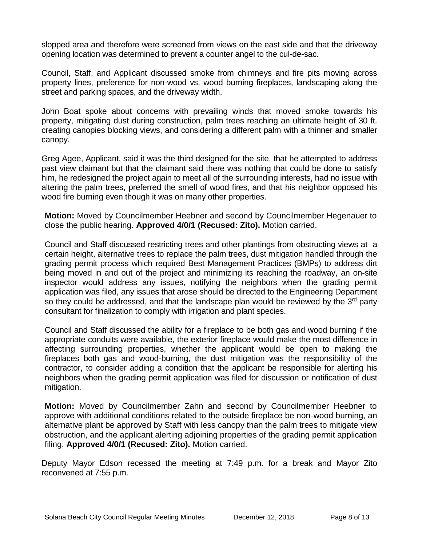slopped area and therefore were screened from views on the east side and that the driveway opening location was determined to prevent a counter angel to the cul-de-sac.

Council, Staff, and Applicant discussed smoke from chimneys and fire pits moving across property lines, preference for non-wood vs. wood burning fireplaces, landscaping along the street and parking spaces, and the driveway width.

John Boat spoke about concerns with prevailing winds that moved smoke towards his property, mitigating dust during construction, palm trees reaching an ultimate height of 30 ft. creating canopies blocking views, and considering a different palm with a thinner and smaller canopy.

Greg Agee, Applicant, said it was the third designed for the site, that he attempted to address past view claimant but that the claimant said there was nothing that could be done to satisfy him, he redesigned the project again to meet all of the surrounding interests, had no issue with altering the palm trees, preferred the smell of wood fires, and that his neighbor opposed his wood fire burning even though it was on many other properties.

**Motion:** Moved by Councilmember Heebner and second by Councilmember Hegenauer to close the public hearing. **Approved 4/0/1 (Recused: Zito).** Motion carried.

Council and Staff discussed restricting trees and other plantings from obstructing views at a certain height, alternative trees to replace the palm trees, dust mitigation handled through the grading permit process which required Best Management Practices (BMPs) to address dirt being moved in and out of the project and minimizing its reaching the roadway, an on-site inspector would address any issues, notifying the neighbors when the grading permit application was filed, any issues that arose should be directed to the Engineering Department so they could be addressed, and that the landscape plan would be reviewed by the 3<sup>rd</sup> party consultant for finalization to comply with irrigation and plant species.

Council and Staff discussed the ability for a fireplace to be both gas and wood burning if the appropriate conduits were available, the exterior fireplace would make the most difference in affecting surrounding properties, whether the applicant would be open to making the fireplaces both gas and wood-burning, the dust mitigation was the responsibility of the contractor, to consider adding a condition that the applicant be responsible for alerting his neighbors when the grading permit application was filed for discussion or notification of dust mitigation.

**Motion:** Moved by Councilmember Zahn and second by Councilmember Heebner to approve with additional conditions related to the outside fireplace be non-wood burning, an alternative plant be approved by Staff with less canopy than the palm trees to mitigate view obstruction, and the applicant alerting adjoining properties of the grading permit application filing. **Approved 4/0/1 (Recused: Zito).** Motion carried.

Deputy Mayor Edson recessed the meeting at 7:49 p.m. for a break and Mayor Zito reconvened at 7:55 p.m.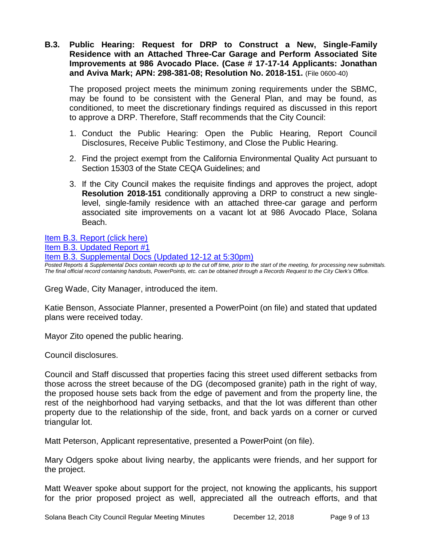**B.3. Public Hearing: Request for DRP to Construct a New, Single-Family Residence with an Attached Three-Car Garage and Perform Associated Site Improvements at 986 Avocado Place. (Case # 17-17-14 Applicants: Jonathan and Aviva Mark; APN: 298-381-08; Resolution No. 2018-151.** (File 0600-40)

The proposed project meets the minimum zoning requirements under the SBMC, may be found to be consistent with the General Plan, and may be found, as conditioned, to meet the discretionary findings required as discussed in this report to approve a DRP. Therefore, Staff recommends that the City Council:

- 1. Conduct the Public Hearing: Open the Public Hearing, Report Council Disclosures, Receive Public Testimony, and Close the Public Hearing.
- 2. Find the project exempt from the California Environmental Quality Act pursuant to Section 15303 of the State CEQA Guidelines; and
- 3. If the City Council makes the requisite findings and approves the project, adopt **Resolution 2018-151** conditionally approving a DRP to construct a new singlelevel, single-family residence with an attached three-car garage and perform associated site improvements on a vacant lot at 986 Avocado Place, Solana Beach.

[Item B.3. Report \(click here\)](https://solanabeach.govoffice3.com/vertical/Sites/%7B840804C2-F869-4904-9AE3-720581350CE7%7D/uploads/Item_B.3._Report_(click_here)_-_12-12-18.PDF)

[Item B.3. Updated Report #1](https://solanabeach.govoffice3.com/vertical/Sites/%7B840804C2-F869-4904-9AE3-720581350CE7%7D/uploads/B.3._Staff_Report_Update_1.pdf)

[Item B.3. Supplemental Docs \(Updated 12-12 at 5:30pm\)](https://solanabeach.govoffice3.com/vertical/Sites/%7B840804C2-F869-4904-9AE3-720581350CE7%7D/uploads/Item_B.3._Supplemental_Docs_(12-12_5pm).pdf)

*Posted Reports & Supplemental Docs contain records up to the cut off time, prior to the start of the meeting, for processing new submittals. The final official record containing handouts, PowerPoints, etc. can be obtained through a Records Request to the City Clerk's Office.*

Greg Wade, City Manager, introduced the item.

Katie Benson, Associate Planner, presented a PowerPoint (on file) and stated that updated plans were received today.

Mayor Zito opened the public hearing.

Council disclosures.

Council and Staff discussed that properties facing this street used different setbacks from those across the street because of the DG (decomposed granite) path in the right of way, the proposed house sets back from the edge of pavement and from the property line, the rest of the neighborhood had varying setbacks, and that the lot was different than other property due to the relationship of the side, front, and back yards on a corner or curved triangular lot.

Matt Peterson, Applicant representative, presented a PowerPoint (on file).

Mary Odgers spoke about living nearby, the applicants were friends, and her support for the project.

Matt Weaver spoke about support for the project, not knowing the applicants, his support for the prior proposed project as well, appreciated all the outreach efforts, and that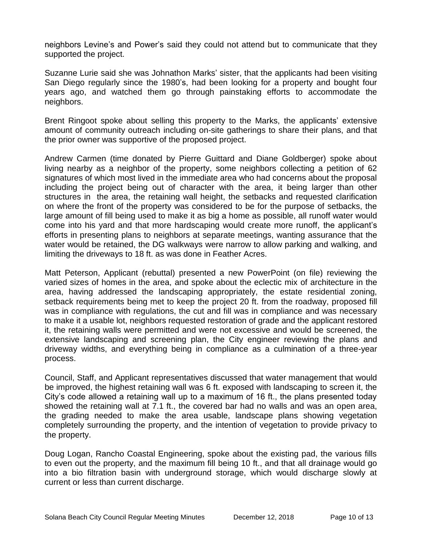neighbors Levine's and Power's said they could not attend but to communicate that they supported the project.

Suzanne Lurie said she was Johnathon Marks' sister, that the applicants had been visiting San Diego regularly since the 1980's, had been looking for a property and bought four years ago, and watched them go through painstaking efforts to accommodate the neighbors.

Brent Ringoot spoke about selling this property to the Marks, the applicants' extensive amount of community outreach including on-site gatherings to share their plans, and that the prior owner was supportive of the proposed project.

Andrew Carmen (time donated by Pierre Guittard and Diane Goldberger) spoke about living nearby as a neighbor of the property, some neighbors collecting a petition of 62 signatures of which most lived in the immediate area who had concerns about the proposal including the project being out of character with the area, it being larger than other structures in the area, the retaining wall height, the setbacks and requested clarification on where the front of the property was considered to be for the purpose of setbacks, the large amount of fill being used to make it as big a home as possible, all runoff water would come into his yard and that more hardscaping would create more runoff, the applicant's efforts in presenting plans to neighbors at separate meetings, wanting assurance that the water would be retained, the DG walkways were narrow to allow parking and walking, and limiting the driveways to 18 ft. as was done in Feather Acres.

Matt Peterson, Applicant (rebuttal) presented a new PowerPoint (on file) reviewing the varied sizes of homes in the area, and spoke about the eclectic mix of architecture in the area, having addressed the landscaping appropriately, the estate residential zoning, setback requirements being met to keep the project 20 ft. from the roadway, proposed fill was in compliance with regulations, the cut and fill was in compliance and was necessary to make it a usable lot, neighbors requested restoration of grade and the applicant restored it, the retaining walls were permitted and were not excessive and would be screened, the extensive landscaping and screening plan, the City engineer reviewing the plans and driveway widths, and everything being in compliance as a culmination of a three-year process.

Council, Staff, and Applicant representatives discussed that water management that would be improved, the highest retaining wall was 6 ft. exposed with landscaping to screen it, the City's code allowed a retaining wall up to a maximum of 16 ft., the plans presented today showed the retaining wall at 7.1 ft., the covered bar had no walls and was an open area, the grading needed to make the area usable, landscape plans showing vegetation completely surrounding the property, and the intention of vegetation to provide privacy to the property.

Doug Logan, Rancho Coastal Engineering, spoke about the existing pad, the various fills to even out the property, and the maximum fill being 10 ft., and that all drainage would go into a bio filtration basin with underground storage, which would discharge slowly at current or less than current discharge.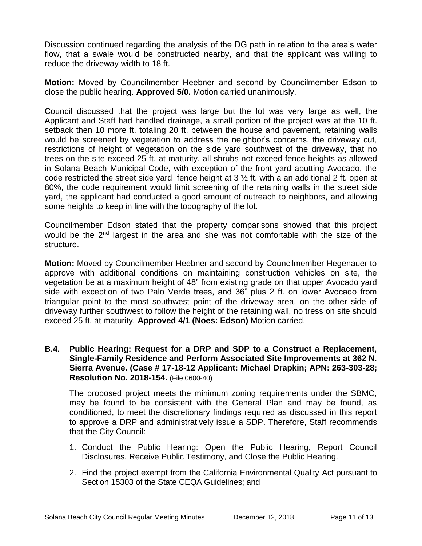Discussion continued regarding the analysis of the DG path in relation to the area's water flow, that a swale would be constructed nearby, and that the applicant was willing to reduce the driveway width to 18 ft.

**Motion:** Moved by Councilmember Heebner and second by Councilmember Edson to close the public hearing. **Approved 5/0.** Motion carried unanimously.

Council discussed that the project was large but the lot was very large as well, the Applicant and Staff had handled drainage, a small portion of the project was at the 10 ft. setback then 10 more ft. totaling 20 ft. between the house and pavement, retaining walls would be screened by vegetation to address the neighbor's concerns, the driveway cut, restrictions of height of vegetation on the side yard southwest of the driveway, that no trees on the site exceed 25 ft. at maturity, all shrubs not exceed fence heights as allowed in Solana Beach Municipal Code, with exception of the front yard abutting Avocado, the code restricted the street side yard fence height at  $3\frac{1}{2}$  ft. with a an additional 2 ft. open at 80%, the code requirement would limit screening of the retaining walls in the street side yard, the applicant had conducted a good amount of outreach to neighbors, and allowing some heights to keep in line with the topography of the lot.

Councilmember Edson stated that the property comparisons showed that this project would be the 2<sup>nd</sup> largest in the area and she was not comfortable with the size of the structure.

**Motion:** Moved by Councilmember Heebner and second by Councilmember Hegenauer to approve with additional conditions on maintaining construction vehicles on site, the vegetation be at a maximum height of 48" from existing grade on that upper Avocado yard side with exception of two Palo Verde trees, and 36" plus 2 ft. on lower Avocado from triangular point to the most southwest point of the driveway area, on the other side of driveway further southwest to follow the height of the retaining wall, no tress on site should exceed 25 ft. at maturity. **Approved 4/1 (Noes: Edson)** Motion carried.

**B.4. Public Hearing: Request for a DRP and SDP to a Construct a Replacement, Single-Family Residence and Perform Associated Site Improvements at 362 N. Sierra Avenue. (Case # 17-18-12 Applicant: Michael Drapkin; APN: 263-303-28; Resolution No. 2018-154.** (File 0600-40)

The proposed project meets the minimum zoning requirements under the SBMC, may be found to be consistent with the General Plan and may be found, as conditioned, to meet the discretionary findings required as discussed in this report to approve a DRP and administratively issue a SDP. Therefore, Staff recommends that the City Council:

- 1. Conduct the Public Hearing: Open the Public Hearing, Report Council Disclosures, Receive Public Testimony, and Close the Public Hearing.
- 2. Find the project exempt from the California Environmental Quality Act pursuant to Section 15303 of the State CEQA Guidelines; and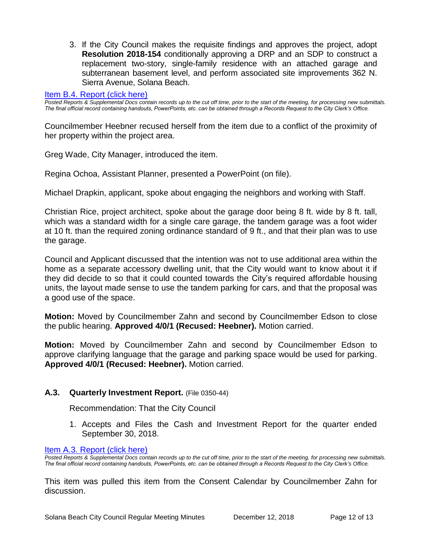3. If the City Council makes the requisite findings and approves the project, adopt **Resolution 2018-154** conditionally approving a DRP and an SDP to construct a replacement two-story, single-family residence with an attached garage and subterranean basement level, and perform associated site improvements 362 N. Sierra Avenue, Solana Beach.

#### [Item B.4. Report \(click here\)](https://solanabeach.govoffice3.com/vertical/Sites/%7B840804C2-F869-4904-9AE3-720581350CE7%7D/uploads/Item_B.4._Report_(click_here)_-_12-12-18.PDF)

*Posted Reports & Supplemental Docs contain records up to the cut off time, prior to the start of the meeting, for processing new submittals. The final official record containing handouts, PowerPoints, etc. can be obtained through a Records Request to the City Clerk's Office.*

Councilmember Heebner recused herself from the item due to a conflict of the proximity of her property within the project area.

Greg Wade, City Manager, introduced the item.

Regina Ochoa, Assistant Planner, presented a PowerPoint (on file).

Michael Drapkin, applicant, spoke about engaging the neighbors and working with Staff.

Christian Rice, project architect, spoke about the garage door being 8 ft. wide by 8 ft. tall, which was a standard width for a single care garage, the tandem garage was a foot wider at 10 ft. than the required zoning ordinance standard of 9 ft., and that their plan was to use the garage.

Council and Applicant discussed that the intention was not to use additional area within the home as a separate accessory dwelling unit, that the City would want to know about it if they did decide to so that it could counted towards the City's required affordable housing units, the layout made sense to use the tandem parking for cars, and that the proposal was a good use of the space.

**Motion:** Moved by Councilmember Zahn and second by Councilmember Edson to close the public hearing. **Approved 4/0/1 (Recused: Heebner).** Motion carried.

**Motion:** Moved by Councilmember Zahn and second by Councilmember Edson to approve clarifying language that the garage and parking space would be used for parking. **Approved 4/0/1 (Recused: Heebner).** Motion carried.

#### **A.3. Quarterly Investment Report.** (File 0350-44)

Recommendation: That the City Council

1. Accepts and Files the Cash and Investment Report for the quarter ended September 30, 2018.

[Item A.3. Report \(click here\)](https://solanabeach.govoffice3.com/vertical/Sites/%7B840804C2-F869-4904-9AE3-720581350CE7%7D/uploads/Item_A.3._Report_(click_here)_-_12-12-18.PDF) 

*Posted Reports & Supplemental Docs contain records up to the cut off time, prior to the start of the meeting, for processing new submittals. The final official record containing handouts, PowerPoints, etc. can be obtained through a Records Request to the City Clerk's Office.*

This item was pulled this item from the Consent Calendar by Councilmember Zahn for discussion.